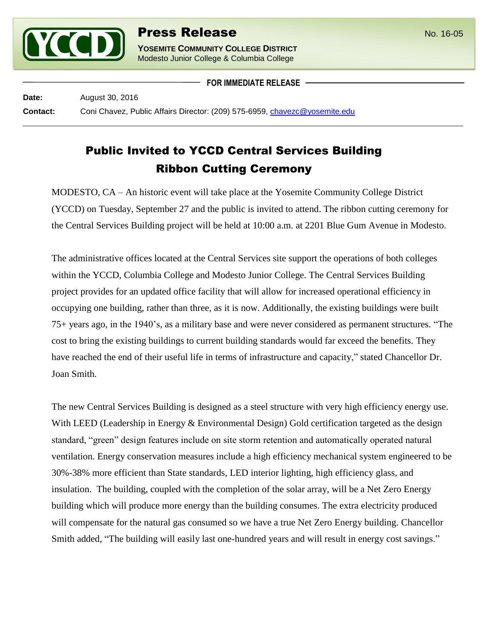

**YOSEMITE COMMUNITY COLLEGE DISTRICT** Modesto Junior College & Columbia College

**FOR IMMEDIATE RELEASE**

**Date:** August 30, 2016 **Contact:** Coni Chavez, Public Affairs Director: (209) 575-6959, [chavezc@yosemite.edu](mailto:chavezc@yosemite.edu)

## Public Invited to YCCD Central Services Building Ribbon Cutting Ceremony

MODESTO, CA – An historic event will take place at the Yosemite Community College District (YCCD) on Tuesday, September 27 and the public is invited to attend. The ribbon cutting ceremony for the Central Services Building project will be held at 10:00 a.m. at 2201 Blue Gum Avenue in Modesto.

The administrative offices located at the Central Services site support the operations of both colleges within the YCCD, Columbia College and Modesto Junior College. The Central Services Building project provides for an updated office facility that will allow for increased operational efficiency in occupying one building, rather than three, as it is now. Additionally, the existing buildings were built 75+ years ago, in the 1940's, as a military base and were never considered as permanent structures. "The cost to bring the existing buildings to current building standards would far exceed the benefits. They have reached the end of their useful life in terms of infrastructure and capacity," stated Chancellor Dr. Joan Smith.

The new Central Services Building is designed as a steel structure with very high efficiency energy use. With LEED (Leadership in Energy & Environmental Design) Gold certification targeted as the design standard, "green" design features include on site storm retention and automatically operated natural ventilation. Energy conservation measures include a high efficiency mechanical system engineered to be 30%-38% more efficient than State standards, LED interior lighting, high efficiency glass, and insulation. The building, coupled with the completion of the solar array, will be a Net Zero Energy building which will produce more energy than the building consumes. The extra electricity produced will compensate for the natural gas consumed so we have a true Net Zero Energy building. Chancellor Smith added, "The building will easily last one-hundred years and will result in energy cost savings."